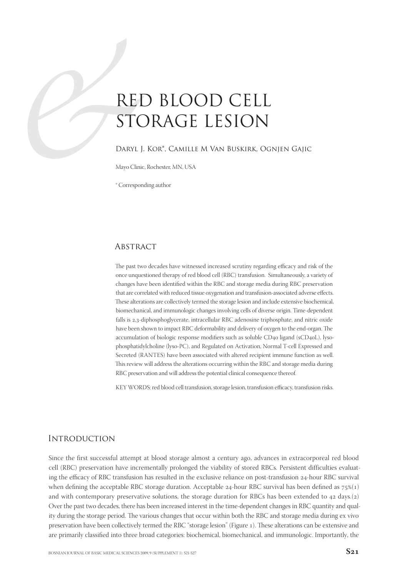# REI<br>
STC<br>
DARYL J<br>
Mayo Clinic<br>
Correspon RED BLOOD CELL STORAGE LESION

## Daryl J. Kor\*, Camille M Van Buskirk, Ognjen Gajic

Mayo Clinic, Rochester, MN, USA

\* Corresponding author

# **ABSTRACT**

The past two decades have witnessed increased scrutiny regarding efficacy and risk of the once unquestioned therapy of red blood cell (RBC) transfusion. Simultaneously, a variety of changes have been identified within the RBC and storage media during RBC preservation that are correlated with reduced tissue oxygenation and transfusion-associated adverse effects. These alterations are collectively termed the storage lesion and include extensive biochemical, biomechanical, and immunologic changes involving cells of diverse origin. Time-dependent falls is 2,3-diphosphoglycerate, intracellular RBC adenosine triphosphate, and nitric oxide have been shown to impact RBC deformability and delivery of oxygen to the end-organ. The accumulation of biologic response modifiers such as soluble CD40 ligand (sCD40L), lysophosphatidylcholine (lyso-PC), and Regulated on Activation, Normal T-cell Expressed and Secreted (RANTES) have been associated with altered recipient immune function as well. This review will address the alterations occurring within the RBC and storage media during RBC preservation and will address the potential clinical consequence thereof.

KEY WORDS: red blood cell transfusion, storage lesion, transfusion efficacy, transfusion risks.

# **INTRODUCTION**

Since the first successful attempt at blood storage almost a century ago, advances in extracorporeal red blood cell (RBC) preservation have incrementally prolonged the viability of stored RBCs. Persistent difficulties evaluating the efficacy of RBC transfusion has resulted in the exclusive reliance on post-transfusion 24-hour RBC survival when defining the acceptable RBC storage duration. Acceptable 24-hour RBC survival has been defined as  $75\%(1)$ and with contemporary preservative solutions, the storage duration for RBCs has been extended to  $42$  days.( $2$ ) Over the past two decades, there has been increased interest in the time-dependent changes in RBC quantity and quality during the storage period. The various changes that occur within both the RBC and storage media during ex vivo preservation have been collectively termed the RBC "storage lesion" (Figure 1). These alterations can be extensive and are primarily classified into three broad categories: biochemical, biomechanical, and immunologic. Importantly, the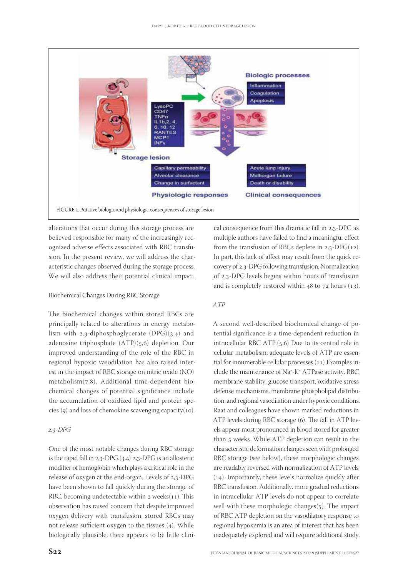

alterations that occur during this storage process are believed responsible for many of the increasingly recognized adverse effects associated with RBC transfusion. In the present review, we will address the characteristic changes observed during the storage process. We will also address their potential clinical impact.

## Biochemical Changes During RBC Storage

The biochemical changes within stored RBCs are principally related to alterations in energy metabolism with  $2,3$ -diphosphoglycerate (DPG)(3,4) and adenosine triphosphate  $(ATP)(5,6)$  depletion. Our improved understanding of the role of the RBC in regional hypoxic vasodilation has also raised interest in the impact of RBC storage on nitric oxide (NO)  $metabolism(7,8)$ . Additional time-dependent biochemical changes of potential significance include the accumulation of oxidized lipid and protein species (9) and loss of chemokine scavenging capacity $(10)$ .

#### $2,3$ -DPG

One of the most notable changes during RBC storage is the rapid fall in  $2,3$ -DPG.( $3,4$ )  $2,3$ -DPG is an allosteric modifier of hemoglobin which plays a critical role in the release of oxygen at the end-organ. Levels of  $2,3$ -DPG have been shown to fall quickly during the storage of RBC, becoming undetectable within  $2$  weeks( $11$ ). This observation has raised concern that despite improved oxygen delivery with transfusion, stored RBCs may not release sufficient oxygen to the tissues  $(4)$ . While biologically plausible, there appears to be little clinical consequence from this dramatic fall in  $2,3$ -DPG as multiple authors have failed to find a meaningful effect from the transfusion of RBCs deplete in  $2,3$ -DPG(12). In part, this lack of affect may result from the quick recovery of 2,3-DPG following transfusion. Normalization of 2,3-DPG levels begins within hours of transfusion and is completely restored within  $48$  to  $72$  hours (13).

## ATP

A second well-described biochemical change of potential significance is a time-dependent reduction in intracellular RBC ATP. $(5,6)$  Due to its central role in cellular metabolism, adequate levels of ATP are essential for innumerable cellular processes. $(11)$  Examples include the maintenance of Na<sup>+</sup>-K<sup>+</sup> ATPase activity, RBC membrane stability, glucose transport, oxidative stress defense mechanisms, membrane phospholipid distribution, and regional vasodilation under hypoxic conditions. Raat and colleagues have shown marked reductions in ATP levels during RBC storage (6). The fall in ATP levels appear most pronounced in blood stored for greater than 5 weeks. While ATP depletion can result in the characteristic deformation changes seen with prolonged RBC storage (see below), these morphologic changes are readably reversed with normalization of ATP levels  $(14)$ . Importantly, these levels normalize quickly after RBC transfusion. Additionally, more gradual reductions in intracellular ATP levels do not appear to correlate well with these morphologic changes $(5)$ . The impact of RBC ATP depletion on the vasodilatory response to regional hypoxemia is an area of interest that has been inadequately explored and will require additional study.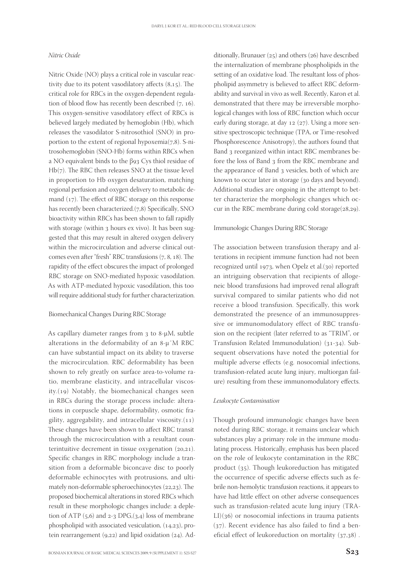## Nitric Oxide

Nitric Oxide (NO) plays a critical role in vascular reactivity due to its potent vasodilatory affects  $(8,15)$ . The critical role for RBCs in the oxygen-dependent regulation of blood flow has recently been described  $(7, 16)$ . This oxygen-sensitive vasodilatory effect of RBCs is believed largely mediated by hemoglobin (Hb), which releases the vasodilator S-nitrosothiol (SNO) in proportion to the extent of regional hypoxemia $(7,8)$ . S-nitrosohemoglobin (SNO-Hb) forms within RBCs when a NO equivalent binds to the β93 Cys thiol residue of  $Hb(7)$ . The RBC then releases SNO at the tissue level in proportion to Hb oxygen desaturation, matching regional perfusion and oxygen delivery to metabolic demand  $(17)$ . The effect of RBC storage on this response has recently been characterized.(7,8) Specifically, SNO bioactivity within RBCs has been shown to fall rapidly with storage (within 3 hours ex vivo). It has been suggested that this may result in altered oxygen delivery within the microcirculation and adverse clinical outcomes even after "fresh" RBC transfusions  $(7, 8, 18)$ . The rapidity of the effect obscures the impact of prolonged RBC storage on SNO-mediated hypoxic vasodilation. As with ATP-mediated hypoxic vasodilation, this too will require additional study for further characterization.

#### Biomechanical Changes During RBC Storage

As capillary diameter ranges from  $3$  to 8- $\mu$ M, subtle alterations in the deformability of an  $8-\mu$ <sup>"</sup>M RBC can have substantial impact on its ability to traverse the microcirculation. RBC deformability has been shown to rely greatly on surface area-to-volume ratio, membrane elasticity, and intracellular viscos $ity.(19)$  Notably, the biomechanical changes seen in RBCs during the storage process include: alterations in corpuscle shape, deformability, osmotic fragility, aggregability, and intracellular viscosity. $(11)$ These changes have been shown to affect RBC transit through the microcirculation with a resultant counterintuitive decrement in tissue oxygenation  $(20,21)$ . Specific changes in RBC morphology include a transition from a deformable biconcave disc to poorly deformable echinocytes with protrusions, and ultimately non-deformable spheroechinocytes  $(22,23)$ . The proposed biochemical alterations in stored RBCs which result in these morphologic changes include: a depletion of ATP  $(5,6)$  and 2-3 DPG, $(3,4)$  loss of membrane phospholipid with associated vesiculation,  $(14,23)$ , protein rearrangement  $(9,22)$  and lipid oxidation  $(24)$ . Ad-

BOSNIAN JOURNAL OF BASIC MEDICAL SCIENCES 2009; 9 (SUPPLEMENT 1): S23-S27 **S**

ditionally, Brunauer  $(25)$  and others  $(26)$  have described the internalization of membrane phospholipids in the setting of an oxidative load. The resultant loss of phospholipid asymmetry is believed to affect RBC deformability and survival in vivo as well. Recently, Karon et al. demonstrated that there may be irreversible morphological changes with loss of RBC function which occur early during storage, at day  $12$  ( $27$ ). Using a more sensitive spectroscopic technique (TPA, or Time-resolved Phosphorescence Anisotropy), the authors found that Band 3 reorganized within intact RBC membranes before the loss of Band 3 from the RBC membrane and the appearance of Band 3 vesicles, both of which are known to occur later in storage (30 days and beyond). Additional studies are ongoing in the attempt to better characterize the morphologic changes which occur in the RBC membrane during cold storage $(28,29)$ .

#### Immunologic Changes During RBC Storage

The association between transfusion therapy and alterations in recipient immune function had not been recognized until 1973, when Opelz et al. $(30)$  reported an intriguing observation that recipients of allogeneic blood transfusions had improved renal allograft survival compared to similar patients who did not receive a blood transfusion. Specifically, this work demonstrated the presence of an immunosuppressive or immunomodulatory effect of RBC transfusion on the recipient (later referred to as "TRIM", or Transfusion Related Immunodulation)  $(31-34)$ . Subsequent observations have noted the potential for multiple adverse effects (e.g. nosocomial infections, transfusion-related acute lung injury, multiorgan failure) resulting from these immunomodulatory effects.

#### Leukocyte Contamination

Though profound immunologic changes have been noted during RBC storage, it remains unclear which substances play a primary role in the immune modulating process. Historically, emphasis has been placed on the role of leukocyte contamination in the RBC product  $(35)$ . Though leukoreduction has mitigated the occurrence of specific adverse effects such as febrile non-hemolytic transfusion reactions, it appears to have had little effect on other adverse consequences such as transfusion-related acute lung injury (TRA- $LI(36)$  or nosocomial infections in trauma patients  $(37)$ . Recent evidence has also failed to find a beneficial effect of leukoreduction on mortality  $(37,38)$ .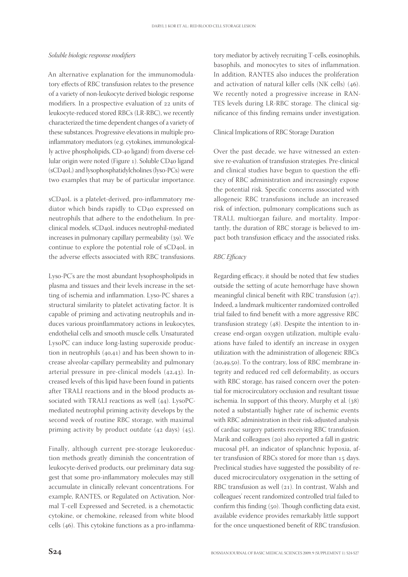## Soluble biologic response modifiers

An alternative explanation for the immunomodulatory effects of RBC transfusion relates to the presence of a variety of non-leukocyte derived biologic response modifiers. In a prospective evaluation of 22 units of leukocyte-reduced stored RBCs (LR-RBC), we recently characterized the time dependent changes of a variety of these substances. Progressive elevations in multiple proinflammatory mediators (e.g. cytokines, immunologically active phospholipids, CD-40 ligand) from diverse cellular origin were noted (Figure 1). Soluble CD40 ligand (sCD<sub>40</sub>L) and lysophosphatidylcholines (lyso-PCs) were two examples that may be of particular importance.

sCD<sub>40</sub>L is a platelet-derived, pro-inflammatory mediator which binds rapidly to CD40 expressed on neutrophils that adhere to the endothelium. In preclinical models, sCD4oL induces neutrophil-mediated increases in pulmonary capillary permeability  $(39)$ . We continue to explore the potential role of  $sCD<sub>40</sub>L$  in the adverse effects associated with RBC transfusions.

Lyso-PC's are the most abundant lysophospholipids in plasma and tissues and their levels increase in the setting of ischemia and inflammation. Lyso-PC shares a structural similarity to platelet activating factor. It is capable of priming and activating neutrophils and induces various proinflammatory actions in leukocytes, endothelial cells and smooth muscle cells. Unsaturated LysoPC can induce long-lasting superoxide production in neutrophils  $(40, 41)$  and has been shown to increase alveolar-capillary permeability and pulmonary arterial pressure in pre-clinical models  $(42,43)$ . Increased levels of this lipid have been found in patients after TRALI reactions and in the blood products associated with TRALI reactions as well  $(44)$ . LysoPCmediated neutrophil priming activity develops by the second week of routine RBC storage, with maximal priming activity by product outdate  $(42 \text{ days})$   $(45)$ .

Finally, although current pre-storage leukoreduction methods greatly diminish the concentration of leukocyte-derived products, our preliminary data suggest that some pro-inflammatory molecules may still accumulate in clinically relevant concentrations. For example, RANTES, or Regulated on Activation, Normal T-cell Expressed and Secreted, is a chemotactic cytokine, or chemokine, released from white blood cells  $(46)$ . This cytokine functions as a pro-inflammatory mediator by actively recruiting T-cells, eosinophils, basophils, and monocytes to sites of inflammation. In addition, RANTES also induces the proliferation and activation of natural killer cells  $(NK$  cells)  $(46)$ . We recently noted a progressive increase in RAN-TES levels during LR-RBC storage. The clinical significance of this finding remains under investigation.

#### Clinical Implications of RBC Storage Duration

Over the past decade, we have witnessed an extensive re-evaluation of transfusion strategies. Pre-clinical and clinical studies have begun to question the efficacy of RBC administration and increasingly expose the potential risk. Specific concerns associated with allogeneic RBC transfusions include an increased risk of infection, pulmonary complications such as TRALI, multiorgan failure, and mortality. Importantly, the duration of RBC storage is believed to impact both transfusion efficacy and the associated risks.

## RBC Efficacy

Regarding efficacy, it should be noted that few studies outside the setting of acute hemorrhage have shown meaningful clinical benefit with RBC transfusion  $(47)$ . Indeed, a landmark multicenter randomized controlled trial failed to find benefit with a more aggressive RBC transfusion strategy  $(48)$ . Despite the intention to increase end-organ oxygen utilization, multiple evaluations have failed to identify an increase in oxygen utilization with the administration of allogeneic RBCs  $(20,49,50)$ . To the contrary, loss of RBC membrane integrity and reduced red cell deformability, as occurs with RBC storage, has raised concern over the potential for microcirculatory occlusion and resultant tissue ischemia. In support of this theory, Murphy et al.  $(38)$ noted a substantially higher rate of ischemic events with RBC administration in their risk-adjusted analysis of cardiac surgery patients receiving RBC transfusion. Marik and colleagues (20) also reported a fall in gastric mucosal pH, an indicator of splanchnic hypoxia, after transfusion of RBCs stored for more than 15 days. Preclinical studies have suggested the possibility of reduced microcirculatory oxygenation in the setting of RBC transfusion as well  $(21)$ . In contrast, Walsh and colleagues' recent randomized controlled trial failed to confirm this finding  $(50)$ . Though conflicting data exist, available evidence provides remarkably little support for the once unquestioned benefit of RBC transfusion.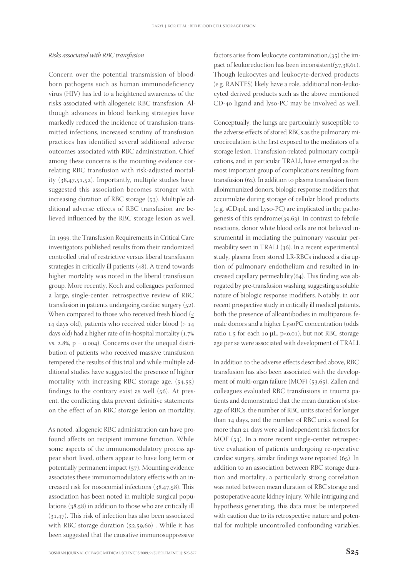#### Risks associated with RBC transfusion

Concern over the potential transmission of bloodborn pathogens such as human immunodeficiency virus (HIV) has led to a heightened awareness of the risks associated with allogeneic RBC transfusion. Although advances in blood banking strategies have markedly reduced the incidence of transfusion-transmitted infections, increased scrutiny of transfusion practices has identified several additional adverse outcomes associated with RBC administration. Chief among these concerns is the mounting evidence correlating RBC transfusion with risk-adjusted mortality  $(38,47,51,52)$ . Importantly, multiple studies have suggested this association becomes stronger with increasing duration of RBC storage  $(53)$ . Multiple additional adverse effects of RBC transfusion are believed influenced by the RBC storage lesion as well.

In 1999, the Transfusion Requirements in Critical Care investigators published results from their randomized controlled trial of restrictive versus liberal transfusion strategies in critically ill patients  $(48)$ . A trend towards higher mortality was noted in the liberal transfusion group. More recently, Koch and colleagues performed a large, single-center, retrospective review of RBC transfusion in patients undergoing cardiac surgery  $(52)$ . When compared to those who received fresh blood  $\leq$ 14 days old), patients who received older blood  $(> 14$ days old) had a higher rate of in-hospital mortality  $(1.7%$ vs.  $2.8\%$ ,  $p = 0.004$ ). Concerns over the unequal distribution of patients who received massive transfusion tempered the results of this trial and while multiple additional studies have suggested the presence of higher mortality with increasing RBC storage age,  $(54,55)$ findings to the contrary exist as well  $(56)$ . At present, the conflicting data prevent definitive statements on the effect of an RBC storage lesion on mortality.

As noted, allogeneic RBC administration can have profound affects on recipient immune function. While some aspects of the immunomodulatory process appear short lived, others appear to have long term or potentially permanent impact  $(57)$ . Mounting evidence associates these immunomodulatory effects with an increased risk for nosocomial infections  $(38,47,58)$ . This association has been noted in multiple surgical populations  $(38,58)$  in addition to those who are critically ill  $(31,47)$ . This risk of infection has also been associated with RBC storage duration  $(52,59,60)$ . While it has been suggested that the causative immunosuppressive

factors arise from leukocyte contamination, $(35)$  the impact of leukoreduction has been inconsistent $(37,38,61)$ . Though leukocytes and leukocyte-derived products (e.g. RANTES) likely have a role, additional non-leukocyted derived products such as the above mentioned  $CD$ -40 ligand and lyso-PC may be involved as well.

Conceptually, the lungs are particularly susceptible to the adverse effects of stored RBCs as the pulmonary microcirculation is the first exposed to the mediators of a storage lesion. Transfusion-related pulmonary complications, and in particular TRALI, have emerged as the most important group of complications resulting from transfusion (62). In addition to plasma transfusion from alloimmunized donors, biologic response modifiers that accumulate during storage of cellular blood products (e.g. sCD4oL and Lyso-PC) are implicated in the pathogenesis of this syndrome $(39,63)$ . In contrast to febrile reactions, donor white blood cells are not believed instrumental in mediating the pulmonary vascular permeability seen in TRALI  $(36)$ . In a recent experimental study, plasma from stored LR-RBCs induced a disruption of pulmonary endothelium and resulted in increased capillary permeability( $64$ ). This finding was abrogated by pre-transfusion washing, suggesting a soluble nature of biologic response modifiers. Notably, in our recent prospective study in critically ill medical patients, both the presence of alloantibodies in multiparous female donors and a higher LysoPC concentration (odds ratio 1.5 for each 10  $\mu$ L, p<0.01), but not RBC storage age per se were associated with development of TRALI.

In addition to the adverse effects described above, RBC transfusion has also been associated with the development of multi-organ failure  $(MOF)$  (53,65). Zallen and colleagues evaluated RBC transfusions in trauma patients and demonstrated that the mean duration of storage of RBCs, the number of RBC units stored for longer than 14 days, and the number of RBC units stored for more than 21 days were all independent risk factors for MOF  $(53)$ . In a more recent single-center retrospective evaluation of patients undergoing re-operative cardiac surgery, similar findings were reported  $(65)$ . In addition to an association between RBC storage duration and mortality, a particularly strong correlation was noted between mean duration of RBC storage and postoperative acute kidney injury. While intriguing and hypothesis generating, this data must be interpreted with caution due to its retrospective nature and potential for multiple uncontrolled confounding variables.